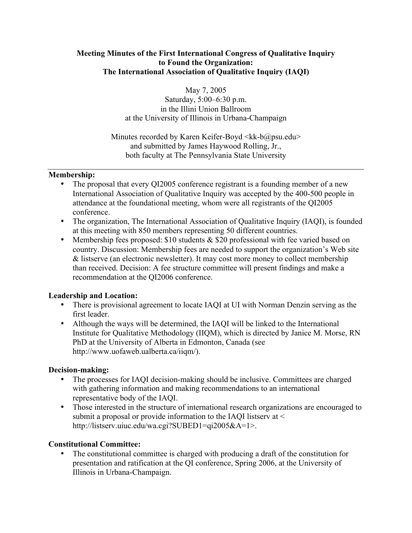# **Meeting Minutes of the First International Congress of Qualitative Inquiry to Found the Organization: The International Association of Qualitative Inquiry (IAQI)**

May 7, 2005

Saturday, 5:00–6:30 p.m. in the Illini Union Ballroom at the University of Illinois in Urbana-Champaign

Minutes recorded by Karen Keifer-Boyd  $\langle k \cdot b \rangle$   $\omega$  psu.edu> and submitted by James Haywood Rolling, Jr., both faculty at The Pennsylvania State University

# **Membership:**

The proposal that every QI2005 conference registrant is a founding member of a new International Association of Qualitative Inquiry was accepted by the 400-500 people in attendance at the foundational meeting, whom were all registrants of the QI2005 conference.

The organization, The International Association of Qualitative Inquiry (IAQI), is founded at this meeting with 850 members representing 50 different countries.

Membership fees proposed: \$10 students & \$20 professional with fee varied based on country. Discussion: Membership fees are needed to support the organization's Web site & listserve (an electronic newsletter). It may cost more money to collect membership than received. Decision: A fee structure committee will present findings and make a recommendation at the QI2006 conference.

# **Leadership and Location:**

There is provisional agreement to locate IAQI at UI with Norman Denzin serving as the first leader.

Although the ways will be determined, the IAQI will be linked to the International Institute for Qualitative Methodology (IIQM), which is directed by Janice M. Morse, RN PhD at the University of Alberta in Edmonton, Canada (see http://www.uofaweb.ualberta.ca/iiqm/).

## **Decision-making:**

The processes for IAQI decision-making should be inclusive. Committees are charged with gathering information and making recommendations to an international representative body of the IAQI.

Those interested in the structure of international research organizations are encouraged to submit a proposal or provide information to the IAQI listserv at  $\leq$ http://listserv.uiuc.edu/wa.cgi?SUBED1=qi2005&A=1>.

## **Constitutional Committee:**

The constitutional committee is charged with producing a draft of the constitution for presentation and ratification at the QI conference, Spring 2006, at the University of Illinois in Urbana-Champaign.